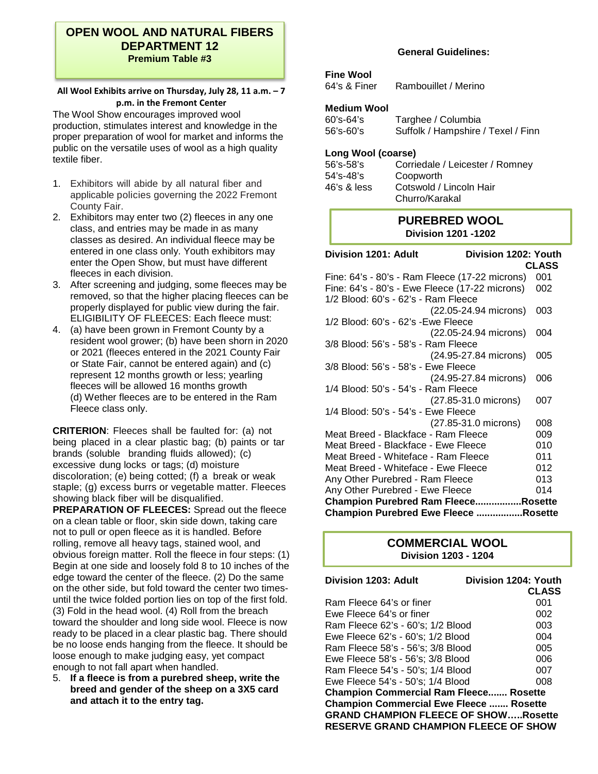# **OPEN WOOL AND NATURAL FIBERS DEPARTMENT 12 Premium Table #3**

### **All Wool Exhibits arrive on Thursday, July 28, 11 a.m. – 7 p.m. in the Fremont Center**

The Wool Show encourages improved wool production, stimulates interest and knowledge in the proper preparation of wool for market and informs the public on the versatile uses of wool as a high quality textile fiber.

- 1. Exhibitors will abide by all natural fiber and applicable policies governing the 2022 Fremont County Fair.
- 2. Exhibitors may enter two (2) fleeces in any one class, and entries may be made in as many classes as desired. An individual fleece may be entered in one class only. Youth exhibitors may enter the Open Show, but must have different fleeces in each division.
- 3. After screening and judging, some fleeces may be removed, so that the higher placing fleeces can be properly displayed for public view during the fair. ELIGIBILITY OF FLEECES: Each fleece must:
- 4. (a) have been grown in Fremont County by a resident wool grower; (b) have been shorn in 2020 or 2021 (fleeces entered in the 2021 County Fair or State Fair, cannot be entered again) and (c) represent 12 months growth or less; yearling fleeces will be allowed 16 months growth (d) Wether fleeces are to be entered in the Ram Fleece class only.

**CRITERION**: Fleeces shall be faulted for: (a) not being placed in a clear plastic bag; (b) paints or tar brands (soluble branding fluids allowed); (c) excessive dung locks or tags; (d) moisture discoloration; (e) being cotted; (f) a break or weak staple; (g) excess burrs or vegetable matter. Fleeces showing black fiber will be disqualified.

**PREPARATION OF FLEECES:** Spread out the fleece on a clean table or floor, skin side down, taking care not to pull or open fleece as it is handled. Before rolling, remove all heavy tags, stained wool, and obvious foreign matter. Roll the fleece in four steps: (1) Begin at one side and loosely fold 8 to 10 inches of the edge toward the center of the fleece. (2) Do the same on the other side, but fold toward the center two timesuntil the twice folded portion lies on top of the first fold. (3) Fold in the head wool. (4) Roll from the breach toward the shoulder and long side wool. Fleece is now ready to be placed in a clear plastic bag. There should be no loose ends hanging from the fleece. It should be loose enough to make judging easy, yet compact enough to not fall apart when handled.

5. **If a fleece is from a purebred sheep, write the breed and gender of the sheep on a 3X5 card and attach it to the entry tag.** 

# **General Guidelines:**

# **Fine Wool**<br>64's & Finer

Rambouillet / Merino

## **Medium Wool**

| 60's-64's | Targhee / Columbia                 |
|-----------|------------------------------------|
| 56's-60's | Suffolk / Hampshire / Texel / Finn |

## **Long Wool (coarse)**

| $56$ 's- $58$ 's | Corriedale / Leicester / Romney |
|------------------|---------------------------------|
| $54$ 's- $48$ 's | Coopworth                       |
| $46's$ & less    | Cotswold / Lincoln Hair         |
|                  | Churro/Karakal                  |

# **PUREBRED WOOL Division 1201 -1202**

| Division 1201: Adult<br>Division 1202: Youth   |              |
|------------------------------------------------|--------------|
|                                                | <b>CLASS</b> |
| Fine: 64's - 80's - Ram Fleece (17-22 microns) | 001          |
| Fine: 64's - 80's - Ewe Fleece (17-22 microns) | 002          |
| 1/2 Blood: 60's - 62's - Ram Fleece            |              |
| (22.05-24.94 microns)                          | 003          |
| 1/2 Blood: 60's - 62's -Ewe Fleece             |              |
| (22.05-24.94 microns)                          | 004          |
| 3/8 Blood: 56's - 58's - Ram Fleece            |              |
| (24.95-27.84 microns)                          | 005          |
| 3/8 Blood: 56's - 58's - Ewe Fleece            |              |
| (24.95-27.84 microns)                          | 006          |
| 1/4 Blood: 50's - 54's - Ram Fleece            |              |
| (27.85-31.0 microns)                           | 007          |
| 1/4 Blood: 50's - 54's - Ewe Fleece            |              |
| (27.85-31.0 microns)                           | 008          |
| Meat Breed - Blackface - Ram Fleece            | 009          |
| Meat Breed - Blackface - Ewe Fleece            | 010          |
| Meat Breed - Whiteface - Ram Fleece            | 011          |
| Meat Breed - Whiteface - Ewe Fleece            | 012          |
| Any Other Purebred - Ram Fleece                | 013          |
| Any Other Purebred - Ewe Fleece                | 014          |
| Champion Purebred Ram FleeceRosette            |              |
| <b>Champion Purebred Ewe Fleece Rosette</b>    |              |

# **COMMERCIAL WOOL Division 1203 - 1204**

| Division 1203: Adult                           | Division 1204: Youth |
|------------------------------------------------|----------------------|
|                                                | <b>CLASS</b>         |
| Ram Fleece 64's or finer                       | 001                  |
| Ewe Fleece 64's or finer                       | 002                  |
| Ram Fleece 62's - 60's; 1/2 Blood              | 003                  |
| Ewe Fleece 62's - 60's; 1/2 Blood              | 004                  |
| Ram Fleece 58's - 56's; 3/8 Blood              | 005                  |
| Ewe Fleece 58's - 56's; 3/8 Blood              | 006                  |
| Ram Fleece 54's - 50's; 1/4 Blood              | 007                  |
| Ewe Fleece 54's - 50's; 1/4 Blood              | 008                  |
| <b>Champion Commercial Ram Fleece Rosette</b>  |                      |
| <b>Champion Commercial Ewe Fleece  Rosette</b> |                      |
| <b>GRAND CHAMPION FLEECE OF SHOWRosette</b>    |                      |
| <b>RESERVE GRAND CHAMPION FLEECE OF SHOW</b>   |                      |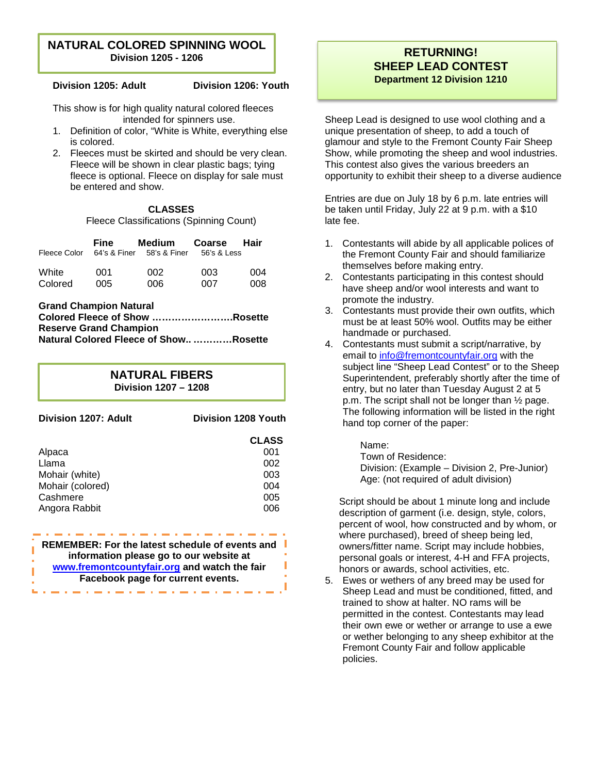# **NATURAL COLORED SPINNING WOOL Division 1205 - 1206**

**Division 1205: Adult Division 1206: Youth** 

This show is for high quality natural colored fleeces intended for spinners use.

- 1. Definition of color, "White is White, everything else is colored.
- 2. Fleeces must be skirted and should be very clean. Fleece will be shown in clear plastic bags; tying fleece is optional. Fleece on display for sale must be entered and show.

# **CLASSES**

Fleece Classifications (Spinning Count)

| Fleece Color | Fine<br>64's & Finer | Medium<br>58's & Finer | Coarse<br>56's & Less | <b>Hair</b> |
|--------------|----------------------|------------------------|-----------------------|-------------|
| White        | 001                  | 002                    | 003                   | 004         |
| Colored      | 005                  | 006                    | 007                   | 008         |

**Grand Champion Natural Colored Fleece of Show …………………….Rosette Reserve Grand Champion Natural Colored Fleece of Show.. …………Rosette**

> **NATURAL FIBERS Division 1207 – 1208**

| Division 1207: Adult                                                                       | Division 1208 Youth                                    |
|--------------------------------------------------------------------------------------------|--------------------------------------------------------|
| Alpaca<br>Llama<br>Mohair (white)<br>Mohair (colored)<br>Cashmere<br>Angora Rabbit         | <b>CLASS</b><br>001<br>002<br>003<br>004<br>005<br>006 |
| REMEMBER: For the latest schedule of events and<br>information please go to our website at |                                                        |

**[www.fremontcountyfair.org](http://www.fremontcountyfair.org/) and watch the fair** 

**Facebook page for current events.** 

Ī

# **RETURNING! SHEEP LEAD CONTEST Department 12 Division 1210**

Sheep Lead is designed to use wool clothing and a unique presentation of sheep, to add a touch of glamour and style to the Fremont County Fair Sheep Show, while promoting the sheep and wool industries. This contest also gives the various breeders an opportunity to exhibit their sheep to a diverse audience

Entries are due on July 18 by 6 p.m. late entries will be taken until Friday, July 22 at 9 p.m. with a \$10 late fee.

- 1. Contestants will abide by all applicable polices of the Fremont County Fair and should familiarize themselves before making entry.
- 2. Contestants participating in this contest should have sheep and/or wool interests and want to promote the industry.
- 3. Contestants must provide their own outfits, which must be at least 50% wool. Outfits may be either handmade or purchased.
- 4. Contestants must submit a script/narrative, by email to [info@fremontcountyfair.org](mailto:info@fremontcountyfair.org) with the subject line "Sheep Lead Contest" or to the Sheep Superintendent, preferably shortly after the time of entry, but no later than Tuesday August 2 at 5 p.m. The script shall not be longer than ½ page. The following information will be listed in the right hand top corner of the paper:

Name:

Town of Residence: Division: (Example – Division 2, Pre-Junior) Age: (not required of adult division)

Script should be about 1 minute long and include description of garment (i.e. design, style, colors, percent of wool, how constructed and by whom, or where purchased), breed of sheep being led, owners/fitter name. Script may include hobbies, personal goals or interest, 4-H and FFA projects, honors or awards, school activities, etc.

5. Ewes or wethers of any breed may be used for Sheep Lead and must be conditioned, fitted, and trained to show at halter. NO rams will be permitted in the contest. Contestants may lead their own ewe or wether or arrange to use a ewe or wether belonging to any sheep exhibitor at the Fremont County Fair and follow applicable policies.